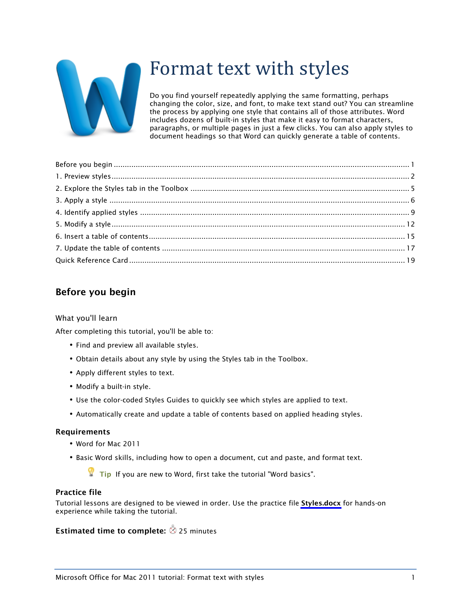

# Format text with styles

Do you find yourself repeatedly applying the same formatting, perhaps changing the color, size, and font, to make text stand out? You can streamline the process by applying one style that contains all of those attributes. Word includes dozens of built-in styles that make it easy to format characters, paragraphs, or multiple pages in just a few clicks. You can also apply styles to document headings so that Word can quickly generate a table of contents.

### Before you begin

### What you'll learn

After completing this tutorial, you'll be able to:

- Find and preview all available styles.
- Obtain details about any style by using the Styles tab in the Toolbox.
- Apply different styles to text.
- Modify a built-in style.
- Use the color-coded Styles Guides to quickly see which styles are applied to text.
- Automatically create and update a table of contents based on applied heading styles.

#### Requirements

- Word for Mac 2011
- Basic Word skills, including how to open a document, cut and paste, and format text.

 $\blacksquare$  Tip If you are new to Word, first take the tutorial "Word basics".

### Practice file

Tutorial lessons are designed to be viewed in order. Use the practice file [Styles.docx](http://go.microsoft.com/fwlink/?LinkId=199619) for hands-on experience while taking the tutorial.

### **Estimated time to complete:**  $\otimes$  25 minutes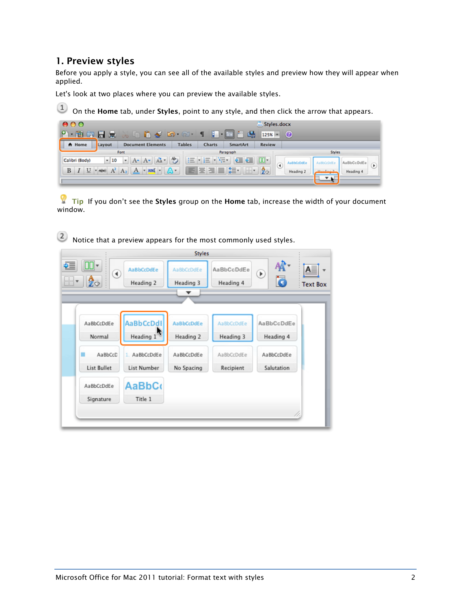### 1. Preview styles

Before you apply a style, you can see all of the available styles and preview how they will appear when applied.

Let's look at two places where you can preview the available styles.

 $\boxed{1}$  On the Home tab, under Styles, point to any style, and then click the arrow that appears.

| 000            |        |                                                                        |                      |                                                                               |           | Styles.docx   |           |        |           |   |
|----------------|--------|------------------------------------------------------------------------|----------------------|-------------------------------------------------------------------------------|-----------|---------------|-----------|--------|-----------|---|
|                |        |                                                                        | $\bullet$ 60 $\circ$ |                                                                               |           | $125x - 2$    |           |        |           |   |
| A Home         | Layout | <b>Document Elements</b>                                               | <b>Tables</b>        | <b>Charts</b>                                                                 | SmartArt  | <b>Review</b> |           |        |           |   |
|                |        | Font                                                                   |                      |                                                                               | Paragraph |               |           | Styles |           |   |
| Calibri (Body) | $-10$  | $\bullet$ A $\bullet$ A $\bullet$ A $\bullet$ $\bullet$                |                      | $\frac{1}{2} \left\  \frac{1}{2} \frac{1}{\sqrt{2}} \right\ _{\infty}$<br>三・三 | 年経        |               | usbCcDdE  |        |           |   |
| $B$ $I$        |        | $U \cdot$ $\star$ Be $A^2$ $A_2$ $A \cdot \star$ and $\cdot$ $A \cdot$ |                      | 医医阳白结核                                                                        |           | ⊙             | Heading 2 |        | Heading 4 | ۹ |
|                |        |                                                                        |                      |                                                                               |           |               |           |        |           |   |

 $\blacksquare$  Tip If you don't see the Styles group on the Home tab, increase the width of your document window.

2 Notice that a preview appears for the most commonly used styles.

|                                                |                                                                           | <b>Styles</b>                                       |                                                    |                                                     |                                       |
|------------------------------------------------|---------------------------------------------------------------------------|-----------------------------------------------------|----------------------------------------------------|-----------------------------------------------------|---------------------------------------|
| ÷≣<br>⊪<br><br>АД<br>::                        | AaBbCcDdEe<br>◉<br>Heading 2                                              | AaBbCcDdEe<br>Heading 3                             | AaBbCcDdEe<br>Heading 4                            | $\circledast$<br>Ō                                  | ${\sf A}$ $\equiv$<br><b>Text Box</b> |
|                                                |                                                                           |                                                     |                                                    |                                                     |                                       |
| AaBbCcDdEe<br>Normal<br>AaBbCcD<br>List Bullet | AaBbCcDdl<br>Heading $1^{\frac{1}{2}}$<br>AaBbCcDdEe<br>1.<br>List Number | AaBbCcDdEe<br>Heading 2<br>AaBbCcDdEe<br>No Spacing | AaBbCcDdEe<br>Heading 3<br>AaBbCcDdEe<br>Recipient | AaBbCcDdEe<br>Heading 4<br>AaBbCcDdEe<br>Salutation |                                       |
| AaBbCcDdEe<br>Signature                        | <b>AaBbCo</b><br>Title 1                                                  |                                                     |                                                    | 11.                                                 |                                       |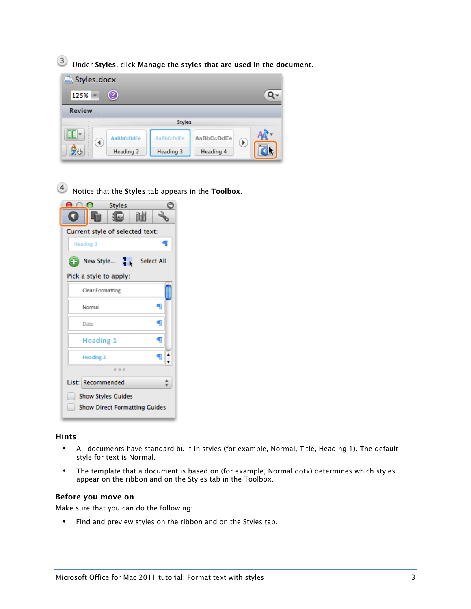Under Styles, click Manage the styles that are used in the document.



 $\left( 4\right)$ Notice that the Styles tab appears in the Toolbox.

| <b>Styles</b>                             |  |  |  |  |
|-------------------------------------------|--|--|--|--|
| 圃<br>滬<br>GI                              |  |  |  |  |
| Current style of selected text:           |  |  |  |  |
| ¶<br>Heading 3                            |  |  |  |  |
| 1.<br>New Style<br><b>Select All</b><br>Œ |  |  |  |  |
| Pick a style to apply:                    |  |  |  |  |
| Clear Formatting                          |  |  |  |  |
| ¶<br>Normal                               |  |  |  |  |
| ¶<br>Date                                 |  |  |  |  |
| <b>Heading 1</b><br>¶                     |  |  |  |  |
| ¶<br><b>Heading 2</b>                     |  |  |  |  |
| 000                                       |  |  |  |  |
| List: Recommended                         |  |  |  |  |
| <b>Show Styles Guides</b>                 |  |  |  |  |
| <b>Show Direct Formatting Guides</b>      |  |  |  |  |

### Hints

- All documents have standard built-in styles (for example, Normal, Title, Heading 1). The default style for text is Normal.
- The template that a document is based on (for example, Normal.dotx) determines which styles appear on the ribbon and on the Styles tab in the Toolbox.

#### Before you move on

Make sure that you can do the following:

• Find and preview styles on the ribbon and on the Styles tab.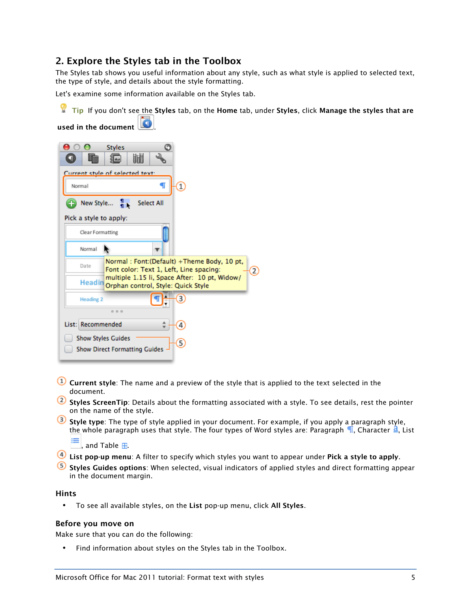### 2. Explore the Styles tab in the Toolbox

The Styles tab shows you useful information about any style, such as what style is applied to selected text, the type of style, and details about the style formatting.

Let's examine some information available on the Styles tab.

Tip If you don't see the Styles tab, on the Home tab, under Styles, click Manage the styles that are

used in the document

| O<br><b>Styles</b><br>圃<br>п                                                                        |  |  |  |  |
|-----------------------------------------------------------------------------------------------------|--|--|--|--|
| Current style of selected text:                                                                     |  |  |  |  |
| П<br>Normal                                                                                         |  |  |  |  |
| New Style $\frac{1}{16}$<br><b>Select All</b>                                                       |  |  |  |  |
| Pick a style to apply:                                                                              |  |  |  |  |
| Clear Formatting                                                                                    |  |  |  |  |
| Normal                                                                                              |  |  |  |  |
| Normal: Font:(Default) +Theme Body, 10 pt,<br>Date<br>Font color: Text 1, Left, Line spacing:<br>2  |  |  |  |  |
| multiple 1.15 li, Space After: 10 pt, Widow/<br><b>Headin</b><br>Orphan control, Style: Quick Style |  |  |  |  |
| 3<br><b>Heading 2</b>                                                                               |  |  |  |  |
| 000                                                                                                 |  |  |  |  |
| List: Recommended                                                                                   |  |  |  |  |
| <b>Show Styles Guides</b>                                                                           |  |  |  |  |
| <b>Show Direct Formatting Guides</b>                                                                |  |  |  |  |

- **Current style**: The name and a preview of the style that is applied to the text selected in the document.
- <sup>2</sup> Styles ScreenTip: Details about the formatting associated with a style. To see details, rest the pointer on the name of the style.
- Style type: The type of style applied in your document. For example, if you apply a paragraph style, the whole paragraph uses that style. The four types of Word styles are: Paragraph  $\P$ , Character  $\Delta$ , List

⋿ and Table  $\mathbf{H}$ .

- **4** List pop-up menu: A filter to specify which styles you want to appear under Pick a style to apply.
- S Styles Guides options: When selected, visual indicators of applied styles and direct formatting appear in the document margin.

#### Hints

• To see all available styles, on the List pop-up menu, click All Styles.

### Before you move on

Make sure that you can do the following:

• Find information about styles on the Styles tab in the Toolbox.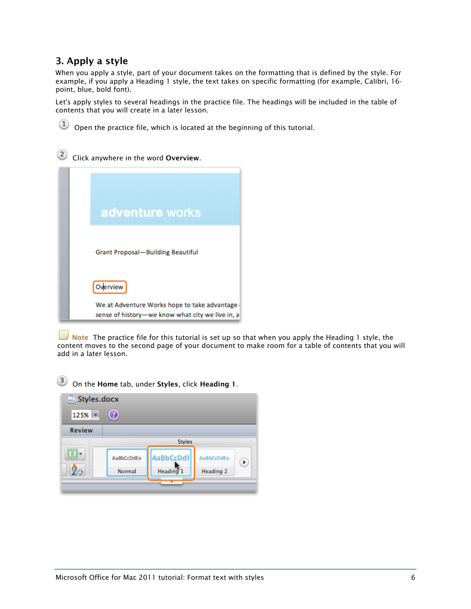### 3. Apply a style

When you apply a style, part of your document takes on the formatting that is defined by the style. For example, if you apply a Heading 1 style, the text takes on specific formatting (for example, Calibri, 16 point, blue, bold font).

Let's apply styles to several headings in the practice file. The headings will be included in the table of contents that you will create in a later lesson.



## 2 Click anywhere in the word Overview.



Note The practice file for this tutorial is set up so that when you apply the Heading 1 style, the content moves to the second page of your document to make room for a table of contents that you will add in a later lesson.

AaBbCcDdEe

Heading 2

 $(\triangleright)$ 



AaBbCcDdl

Heading 1

AaBbCcDdEe

Normal

**EB** 

发步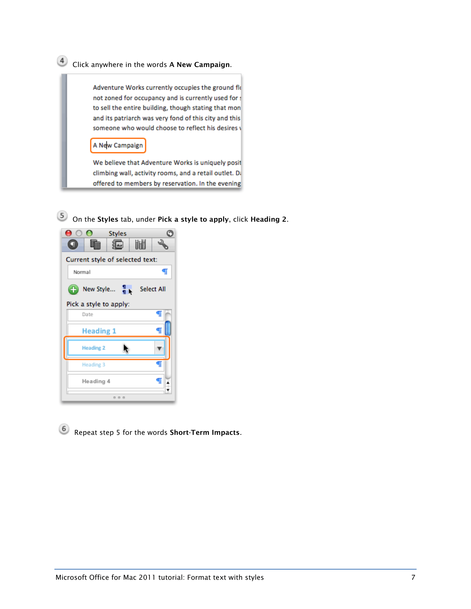# Click anywhere in the words A New Campaign.

Adventure Works currently occupies the ground fic not zoned for occupancy and is currently used for : to sell the entire building, though stating that mon and its patriarch was very fond of this city and this someone who would choose to reflect his desires v

### A New Campaign

We believe that Adventure Works is uniquely posit climbing wall, activity rooms, and a retail outlet. D: offered to members by reservation. In the evening

On the Styles tab, under Pick a style to apply, click Heading 2.



Repeat step 5 for the words Short-Term Impacts.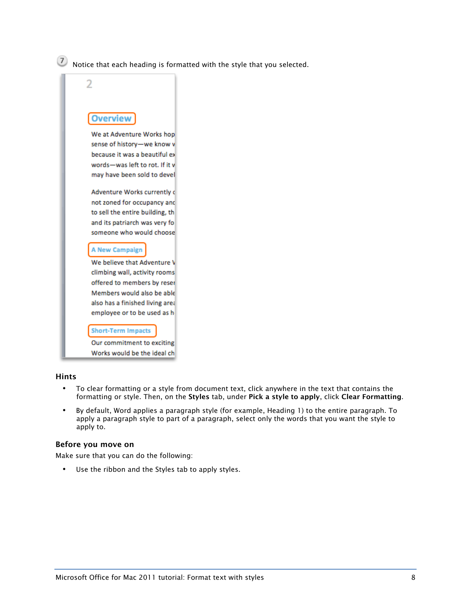$\overline{\mathcal{O}}$  Notice that each heading is formatted with the style that you selected.



Works would be the ideal ch

#### Hints

- To clear formatting or a style from document text, click anywhere in the text that contains the formatting or style. Then, on the Styles tab, under Pick a style to apply, click Clear Formatting.
- By default, Word applies a paragraph style (for example, Heading 1) to the entire paragraph. To apply a paragraph style to part of a paragraph, select only the words that you want the style to apply to.

#### Before you move on

Make sure that you can do the following:

• Use the ribbon and the Styles tab to apply styles.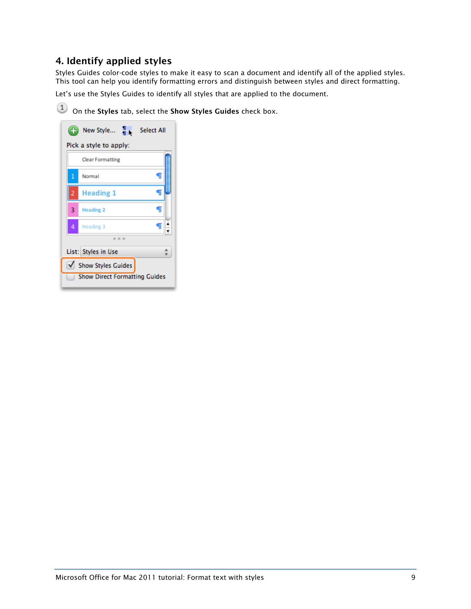### 4. Identify applied styles

Styles Guides color-code styles to make it easy to scan a document and identify all of the applied styles. This tool can help you identify formatting errors and distinguish between styles and direct formatting.

Let's use the Styles Guides to identify all styles that are applied to the document.

<sup>(1)</sup> On the Styles tab, select the Show Styles Guides check box.

|                                      | New Style $\frac{1}{1}$<br><b>Select All</b> |  |  |  |
|--------------------------------------|----------------------------------------------|--|--|--|
|                                      | Pick a style to apply:                       |  |  |  |
|                                      | Clear Formatting                             |  |  |  |
| 1                                    | T<br>Normal                                  |  |  |  |
| 2                                    | <b>Heading 1</b>                             |  |  |  |
| 3                                    | T<br><b>Heading 2</b>                        |  |  |  |
| 4                                    | q<br>Heading 3                               |  |  |  |
|                                      |                                              |  |  |  |
|                                      | List: Styles in Use                          |  |  |  |
| Show Styles Guides                   |                                              |  |  |  |
| <b>Show Direct Formatting Guides</b> |                                              |  |  |  |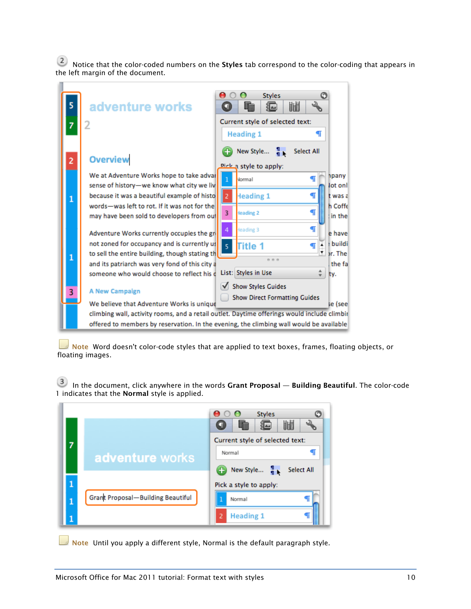2 Notice that the color-coded numbers on the Styles tab correspond to the color-coding that appears in the left margin of the document.



Note Word doesn't color-code styles that are applied to text boxes, frames, floating objects, or floating images.

 In the document, click anywhere in the words Grant Proposal — Building Beautiful. The color-code 1 indicates that the Normal style is applied.



Note Until you apply a different style, Normal is the default paragraph style.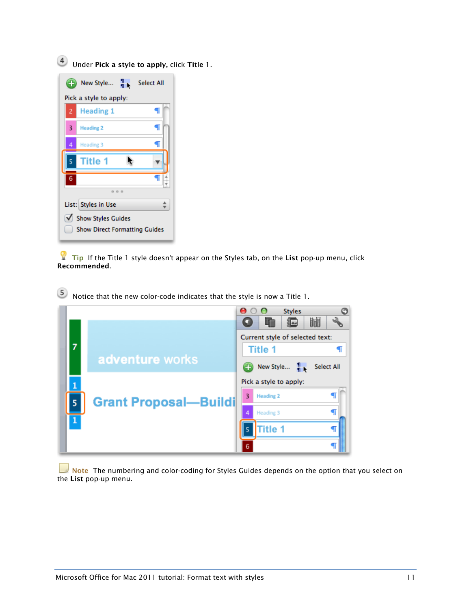Under Pick a style to apply, click Title 1.



 $\blacksquare$  Tip If the Title 1 style doesn't appear on the Styles tab, on the List pop-up menu, click Recommended.

 $(5)$ Notice that the new color-code indicates that the style is now a Title 1.



Note The numbering and color-coding for Styles Guides depends on the option that you select on the List pop-up menu.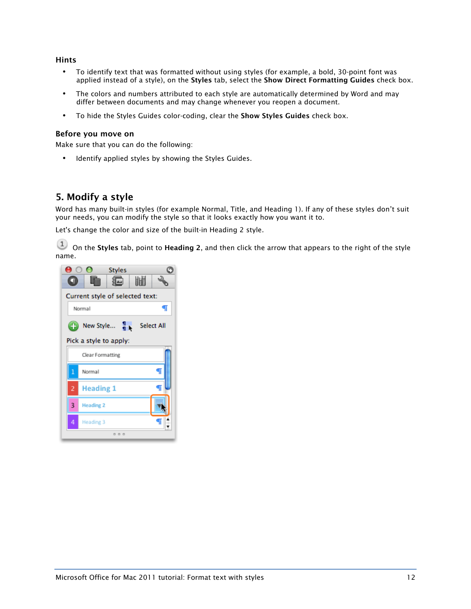#### Hints

- To identify text that was formatted without using styles (for example, a bold, 30-point font was applied instead of a style), on the Styles tab, select the Show Direct Formatting Guides check box.
- The colors and numbers attributed to each style are automatically determined by Word and may differ between documents and may change whenever you reopen a document.
- To hide the Styles Guides color-coding, clear the Show Styles Guides check box.

#### Before you move on

Make sure that you can do the following:

• Identify applied styles by showing the Styles Guides.

### 5. Modify a style

Word has many built-in styles (for example Normal, Title, and Heading 1). If any of these styles don't suit your needs, you can modify the style so that it looks exactly how you want it to.

Let's change the color and size of the built-in Heading 2 style.

 $\left( \begin{array}{c} 1 \end{array} \right)$  On the Styles tab, point to Heading 2, and then click the arrow that appears to the right of the style name.

| п              | Styles<br>圃<br>滬                               |
|----------------|------------------------------------------------|
|                | Current style of selected text:<br>¶<br>Normal |
| Œ              | New Style $\frac{1}{1}$<br><b>Select All</b>   |
|                | Pick a style to apply:<br>Clear Formatting     |
| $\overline{1}$ | T<br>Normal                                    |
| 2              | <b>Heading 1</b><br>Π                          |
| 3              | <b>Heading 2</b>                               |
| 4              | Heading 3<br>000                               |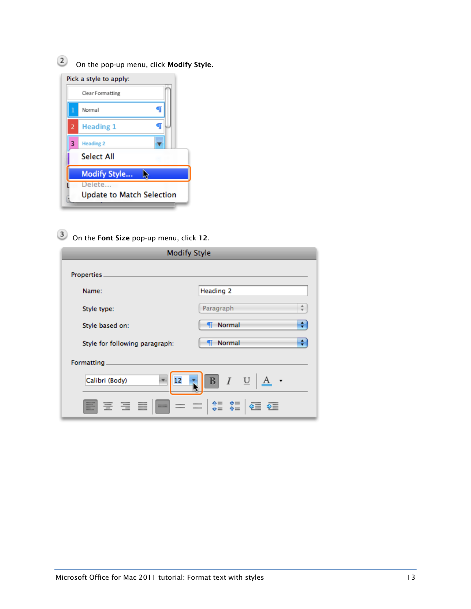

3 On the Font Size pop-up menu, click 12.

| <b>Modify Style</b>                                                     |                                                                          |
|-------------------------------------------------------------------------|--------------------------------------------------------------------------|
| Properties                                                              |                                                                          |
| Name:                                                                   | <b>Heading 2</b>                                                         |
| Style type:                                                             | 五<br>Paragraph<br>$\overline{\mathbf{v}}$                                |
| Style based on:                                                         | ÷<br>Normal<br>T                                                         |
| Style for following paragraph:                                          | ÷<br>Normal                                                              |
| Formatting                                                              |                                                                          |
| Calibri (Body)<br>12                                                    | $I \quad \underline{\mathsf{U}}$<br>$\mathbf{B}$<br>$\ddot{\phantom{0}}$ |
| -----<br>$=$<br>÷<br>--------<br>$\frac{1}{1+2}$<br>--------<br>------- | $+ =$<br>令三<br>--------<br>⊱≡<br>⇒≡<br>令三<br>$+ =$                       |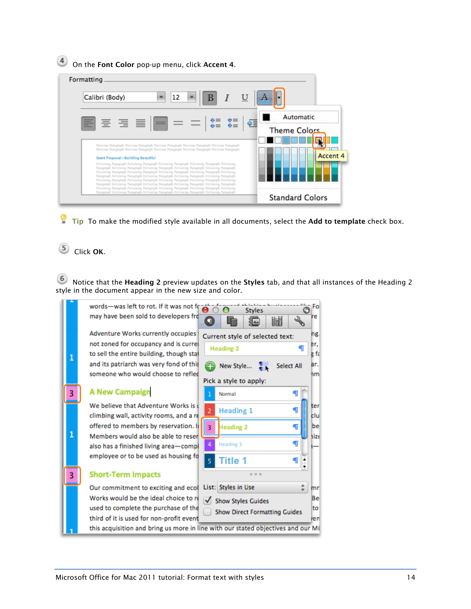**4** On the Font Color pop-up menu, click Accent 4.



 $\blacksquare$  Tip To make the modified style available in all documents, select the Add to template check box.

### 5 Click OK.

6 Notice that the Heading 2 preview updates on the Styles tab, and that all instances of the Heading 2 style in the document appear in the new size and color.

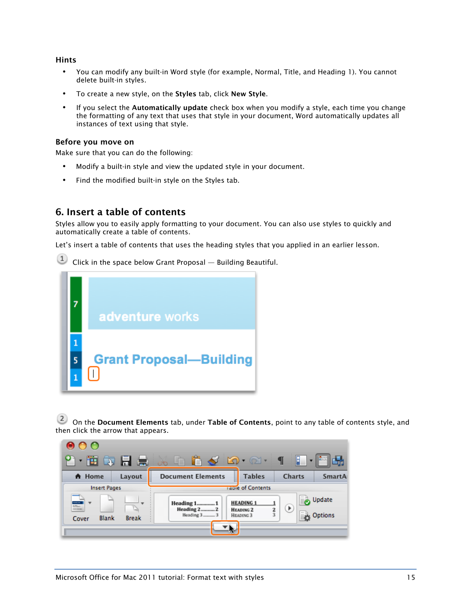#### Hints

- You can modify any built-in Word style (for example, Normal, Title, and Heading 1). You cannot delete built-in styles.
- To create a new style, on the Styles tab, click New Style.
- If you select the Automatically update check box when you modify a style, each time you change the formatting of any text that uses that style in your document, Word automatically updates all instances of text using that style.

#### Before you move on

Make sure that you can do the following:

- Modify a built-in style and view the updated style in your document.
- Find the modified built-in style on the Styles tab.

### 6. Insert a table of contents

Styles allow you to easily apply formatting to your document. You can also use styles to quickly and automatically create a table of contents.

Let's insert a table of contents that uses the heading styles that you applied in an earlier lesson.

 $\left(1\right)$ Click in the space below Grant Proposal — Building Beautiful.



<sup>(2)</sup> On the Document Elements tab, under Table of Contents, point to any table of contents style, and then click the arrow that appears.

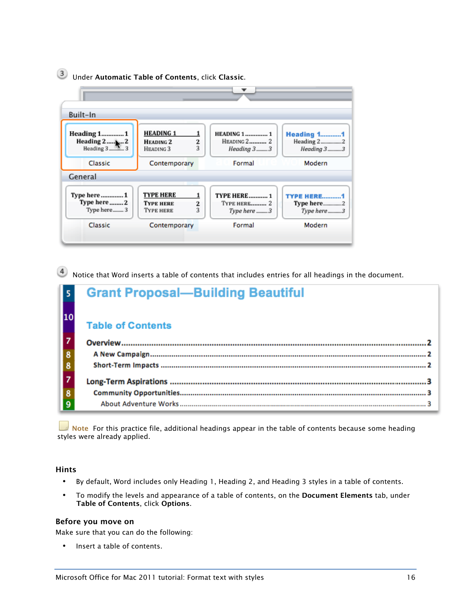# Under Automatic Table of Contents, click Classic.



Notice that Word inserts a table of contents that includes entries for all headings in the document.

|                         | <b>Grant Proposal-Building Beautiful</b> |
|-------------------------|------------------------------------------|
|                         | <b>Table of Contents</b>                 |
|                         |                                          |
| $\overline{\mathbf{8}}$ |                                          |
|                         |                                          |
| $\frac{7}{8}$           |                                          |
|                         |                                          |
|                         |                                          |

 $\blacksquare$  Note For this practice file, additional headings appear in the table of contents because some heading styles were already applied.

### Hints

- By default, Word includes only Heading 1, Heading 2, and Heading 3 styles in a table of contents.
- To modify the levels and appearance of a table of contents, on the Document Elements tab, under Table of Contents, click Options.

#### Before you move on

Make sure that you can do the following:

Insert a table of contents.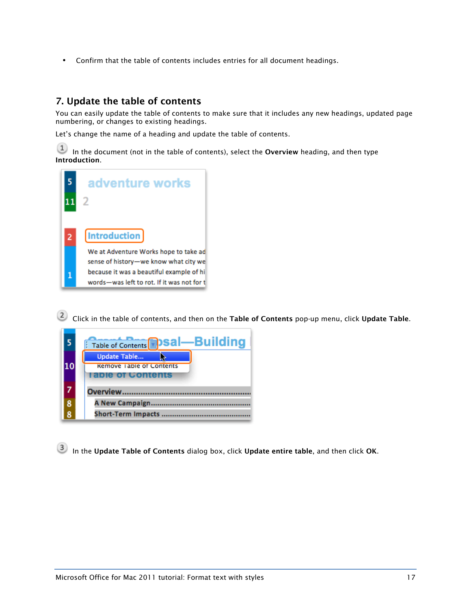• Confirm that the table of contents includes entries for all document headings.

### 7. Update the table of contents

You can easily update the table of contents to make sure that it includes any new headings, updated page numbering, or changes to existing headings.

Let's change the name of a heading and update the table of contents.

 $(1)$  In the document (not in the table of contents), select the Overview heading, and then type Introduction.



2 Click in the table of contents, and then on the Table of Contents pop-up menu, click Update Table.



In the Update Table of Contents dialog box, click Update entire table, and then click OK.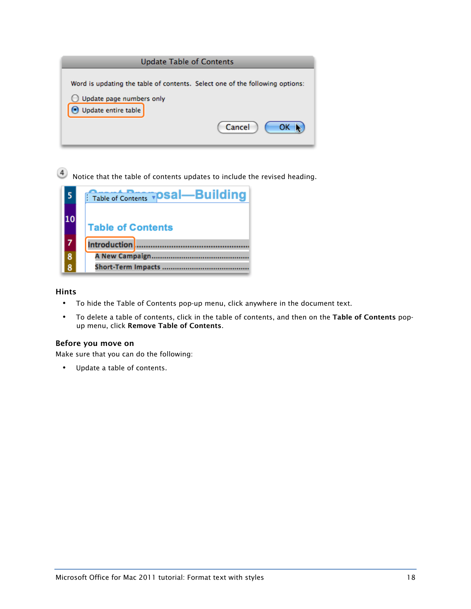

Notice that the table of contents updates to include the revised heading.

|   | Table of Contents <b>TOSal—Building</b> |
|---|-----------------------------------------|
|   | <b>Table of Contents</b>                |
|   | Introduction                            |
| 8 | A New Campaign                          |
|   | Short-Term Impacts                      |

### Hints

- To hide the Table of Contents pop-up menu, click anywhere in the document text.
- To delete a table of contents, click in the table of contents, and then on the Table of Contents popup menu, click Remove Table of Contents.

### Before you move on

Make sure that you can do the following:

• Update a table of contents.